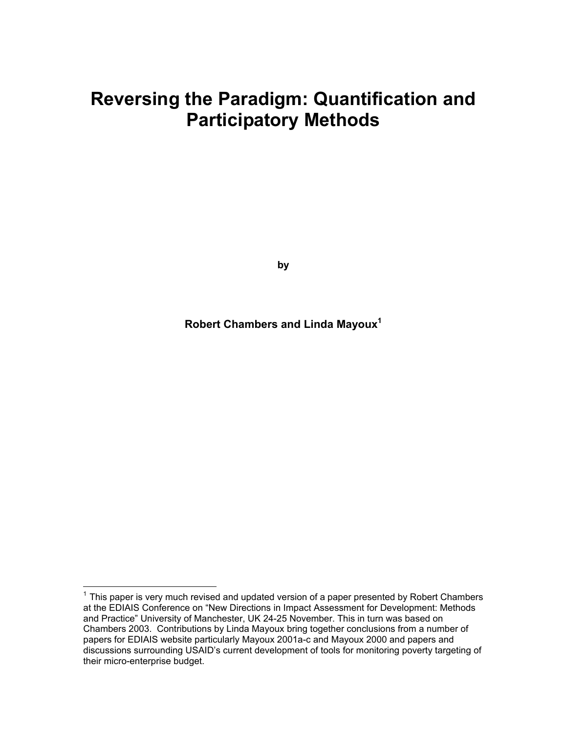# **Reversing the Paradigm: Quantification and Participatory Methods**

**by** 

**Robert Chambers and Linda Mayou[x1](#page-0-0)**

 $\overline{a}$ 

<span id="page-0-0"></span> $1$  This paper is very much revised and updated version of a paper presented by Robert Chambers at the EDIAIS Conference on "New Directions in Impact Assessment for Development: Methods and Practice" University of Manchester, UK 24-25 November. This in turn was based on Chambers 2003. Contributions by Linda Mayoux bring together conclusions from a number of papers for EDIAIS website particularly Mayoux 2001a-c and Mayoux 2000 and papers and discussions surrounding USAID's current development of tools for monitoring poverty targeting of their micro-enterprise budget.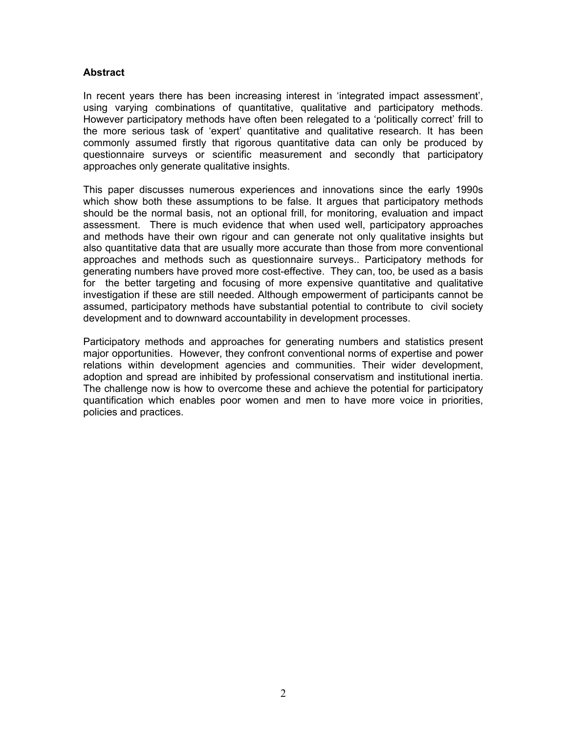#### **Abstract**

In recent years there has been increasing interest in 'integrated impact assessment', using varying combinations of quantitative, qualitative and participatory methods. However participatory methods have often been relegated to a 'politically correct' frill to the more serious task of 'expert' quantitative and qualitative research. It has been commonly assumed firstly that rigorous quantitative data can only be produced by questionnaire surveys or scientific measurement and secondly that participatory approaches only generate qualitative insights.

This paper discusses numerous experiences and innovations since the early 1990s which show both these assumptions to be false. It argues that participatory methods should be the normal basis, not an optional frill, for monitoring, evaluation and impact assessment. There is much evidence that when used well, participatory approaches and methods have their own rigour and can generate not only qualitative insights but also quantitative data that are usually more accurate than those from more conventional approaches and methods such as questionnaire surveys.. Participatory methods for generating numbers have proved more cost-effective. They can, too, be used as a basis for the better targeting and focusing of more expensive quantitative and qualitative investigation if these are still needed. Although empowerment of participants cannot be assumed, participatory methods have substantial potential to contribute to civil society development and to downward accountability in development processes.

Participatory methods and approaches for generating numbers and statistics present major opportunities. However, they confront conventional norms of expertise and power relations within development agencies and communities. Their wider development, adoption and spread are inhibited by professional conservatism and institutional inertia. The challenge now is how to overcome these and achieve the potential for participatory quantification which enables poor women and men to have more voice in priorities, policies and practices.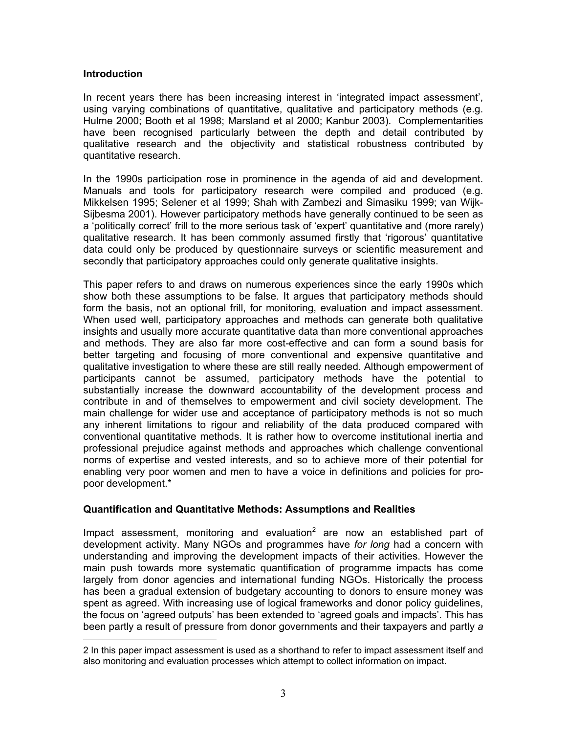## **Introduction**

 $\overline{a}$ 

In recent years there has been increasing interest in 'integrated impact assessment', using varying combinations of quantitative, qualitative and participatory methods (e.g. Hulme 2000; Booth et al 1998; Marsland et al 2000; Kanbur 2003). Complementarities have been recognised particularly between the depth and detail contributed by qualitative research and the objectivity and statistical robustness contributed by quantitative research.

In the 1990s participation rose in prominence in the agenda of aid and development. Manuals and tools for participatory research were compiled and produced (e.g. Mikkelsen 1995; Selener et al 1999; Shah with Zambezi and Simasiku 1999; van Wijk-Sijbesma 2001). However participatory methods have generally continued to be seen as a 'politically correct' frill to the more serious task of 'expert' quantitative and (more rarely) qualitative research. It has been commonly assumed firstly that 'rigorous' quantitative data could only be produced by questionnaire surveys or scientific measurement and secondly that participatory approaches could only generate qualitative insights.

This paper refers to and draws on numerous experiences since the early 1990s which show both these assumptions to be false. It argues that participatory methods should form the basis, not an optional frill, for monitoring, evaluation and impact assessment. When used well, participatory approaches and methods can generate both qualitative insights and usually more accurate quantitative data than more conventional approaches and methods. They are also far more cost-effective and can form a sound basis for better targeting and focusing of more conventional and expensive quantitative and qualitative investigation to where these are still really needed. Although empowerment of participants cannot be assumed, participatory methods have the potential to substantially increase the downward accountability of the development process and contribute in and of themselves to empowerment and civil society development. The main challenge for wider use and acceptance of participatory methods is not so much any inherent limitations to rigour and reliability of the data produced compared with conventional quantitative methods. It is rather how to overcome institutional inertia and professional prejudice against methods and approaches which challenge conventional norms of expertise and vested interests, and so to achieve more of their potential for enabling very poor women and men to have a voice in definitions and policies for propoor development.\*

## **Quantification and Quantitative Methods: Assumptions and Realities**

Impact assessment, monitoring and evaluation<sup>[2](#page-2-0)</sup> are now an established part of development activity. Many NGOs and programmes have *for long* had a concern with understanding and improving the development impacts of their activities. However the main push towards more systematic quantification of programme impacts has come largely from donor agencies and international funding NGOs. Historically the process has been a gradual extension of budgetary accounting to donors to ensure money was spent as agreed. With increasing use of logical frameworks and donor policy guidelines, the focus on 'agreed outputs' has been extended to 'agreed goals and impacts'. This has been partly a result of pressure from donor governments and their taxpayers and partly *a* 

<span id="page-2-0"></span><sup>2</sup> In this paper impact assessment is used as a shorthand to refer to impact assessment itself and also monitoring and evaluation processes which attempt to collect information on impact.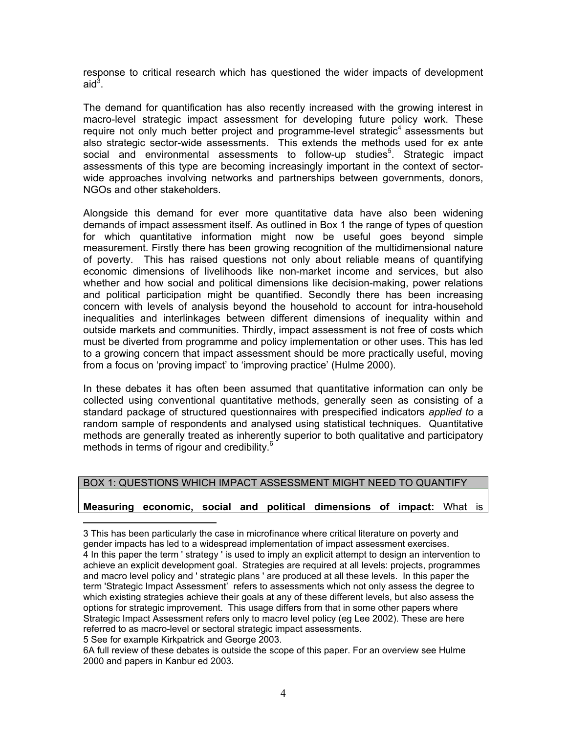response to critical research which has questioned the wider impacts of development aid $^3$  $^3$ .

The demand for quantification has also recently increased with the growing interest in macro-level strategic impact assessment for developing future policy work. These require not only much better project and programme-level strategic<sup>4</sup> assessments but also strategic sector-wide assessments. This extends the methods used for ex ante social and environmental assessments to follow-up studies<sup>[5](#page-3-2)</sup>. Strategic impact assessments of this type are becoming increasingly important in the context of sectorwide approaches involving networks and partnerships between governments, donors, NGOs and other stakeholders.

Alongside this demand for ever more quantitative data have also been widening demands of impact assessment itself. As outlined in Box 1 the range of types of question for which quantitative information might now be useful goes beyond simple measurement. Firstly there has been growing recognition of the multidimensional nature of poverty. This has raised questions not only about reliable means of quantifying economic dimensions of livelihoods like non-market income and services, but also whether and how social and political dimensions like decision-making, power relations and political participation might be quantified. Secondly there has been increasing concern with levels of analysis beyond the household to account for intra-household inequalities and interlinkages between different dimensions of inequality within and outside markets and communities. Thirdly, impact assessment is not free of costs which must be diverted from programme and policy implementation or other uses. This has led to a growing concern that impact assessment should be more practically useful, moving from a focus on 'proving impact' to 'improving practice' (Hulme 2000).

In these debates it has often been assumed that quantitative information can only be collected using conventional quantitative methods, generally seen as consisting of a standard package of structured questionnaires with prespecified indicators *applied to* a random sample of respondents and analysed using statistical techniques. Quantitative methods are generally treated as inherently superior to both qualitative and participatory methods in terms of rigour and credibility.<sup>[6](#page-3-3)</sup>

## BOX 1: QUESTIONS WHICH IMPACT ASSESSMENT MIGHT NEED TO QUANTIFY

## **Measuring economic, social and political dimensions of impact:** What is

<span id="page-3-1"></span><span id="page-3-0"></span>3 This has been particularly the case in microfinance where critical literature on poverty and gender impacts has led to a widespread implementation of impact assessment exercises. 4 In this paper the term ' strategy ' is used to imply an explicit attempt to design an intervention to achieve an explicit development goal. Strategies are required at all levels: projects, programmes and macro level policy and ' strategic plans ' are produced at all these levels. In this paper the term 'Strategic Impact Assessment' refers to assessments which not only assess the degree to which existing strategies achieve their goals at any of these different levels, but also assess the options for strategic improvement. This usage differs from that in some other papers where Strategic Impact Assessment refers only to macro level policy (eg Lee 2002). These are here referred to as macro-level or sectoral strategic impact assessments.

<span id="page-3-2"></span>5 See for example Kirkpatrick and George 2003.

 $\overline{a}$ 

<span id="page-3-3"></span>6A full review of these debates is outside the scope of this paper. For an overview see Hulme 2000 and papers in Kanbur ed 2003.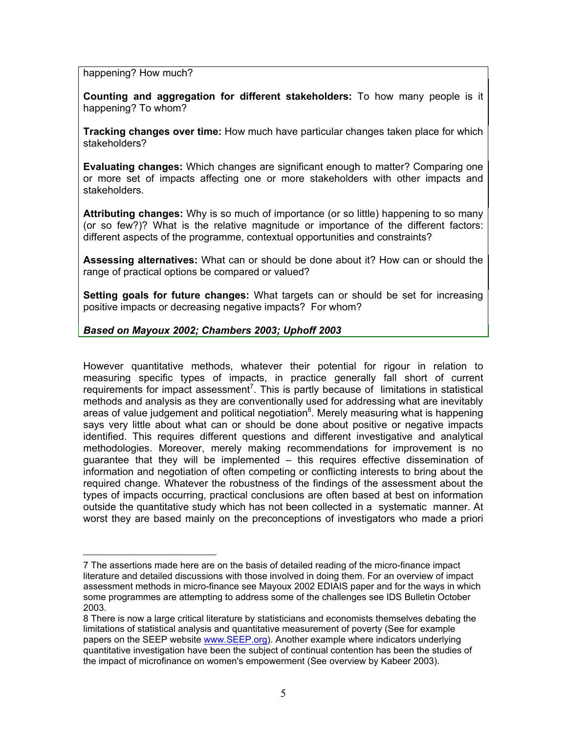happening? How much?

 $\overline{a}$ 

**Counting and aggregation for different stakeholders:** To how many people is it happening? To whom?

**Tracking changes over time:** How much have particular changes taken place for which stakeholders?

**Evaluating changes:** Which changes are significant enough to matter? Comparing one or more set of impacts affecting one or more stakeholders with other impacts and stakeholders.

**Attributing changes:** Why is so much of importance (or so little) happening to so many (or so few?)? What is the relative magnitude or importance of the different factors: different aspects of the programme, contextual opportunities and constraints?

**Assessing alternatives:** What can or should be done about it? How can or should the range of practical options be compared or valued?

**Setting goals for future changes:** What targets can or should be set for increasing positive impacts or decreasing negative impacts? For whom?

## *Based on Mayoux 2002; Chambers 2003; Uphoff 2003*

However quantitative methods, whatever their potential for rigour in relation to measuring specific types of impacts, in practice generally fall short of current requirements for impact assessment<sup>[7](#page-4-0)</sup>. This is partly because of limitations in statistical methods and analysis as they are conventionally used for addressing what are inevitably areas of value judgement and political negotiation $^8$  $^8$ . Merely measuring what is happening says very little about what can or should be done about positive or negative impacts identified. This requires different questions and different investigative and analytical methodologies. Moreover, merely making recommendations for improvement is no guarantee that they will be implemented – this requires effective dissemination of information and negotiation of often competing or conflicting interests to bring about the required change. Whatever the robustness of the findings of the assessment about the types of impacts occurring, practical conclusions are often based at best on information outside the quantitative study which has not been collected in a systematic manner. At worst they are based mainly on the preconceptions of investigators who made a priori

<span id="page-4-0"></span><sup>7</sup> The assertions made here are on the basis of detailed reading of the micro-finance impact literature and detailed discussions with those involved in doing them. For an overview of impact assessment methods in micro-finance see Mayoux 2002 EDIAIS paper and for the ways in which some programmes are attempting to address some of the challenges see IDS Bulletin October 2003.

<span id="page-4-1"></span><sup>8</sup> There is now a large critical literature by statisticians and economists themselves debating the limitations of statistical analysis and quantitative measurement of poverty (See for example papers on the SEEP website [www.SEEP.org\)](http://www.seep.org/). Another example where indicators underlying quantitative investigation have been the subject of continual contention has been the studies of the impact of microfinance on women's empowerment (See overview by Kabeer 2003).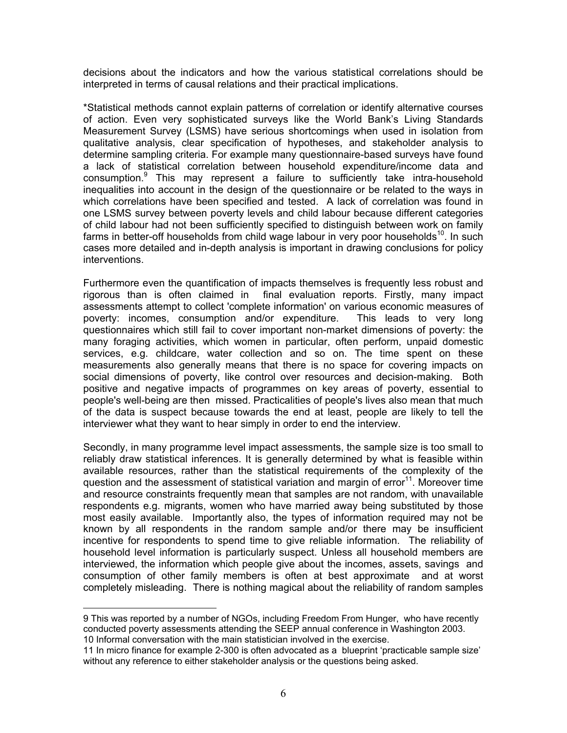decisions about the indicators and how the various statistical correlations should be interpreted in terms of causal relations and their practical implications.

\*Statistical methods cannot explain patterns of correlation or identify alternative courses of action. Even very sophisticated surveys like the World Bank's Living Standards Measurement Survey (LSMS) have serious shortcomings when used in isolation from qualitative analysis, clear specification of hypotheses, and stakeholder analysis to determine sampling criteria. For example many questionnaire-based surveys have found a lack of statistical correlation between household expenditure/income data and consumption.[9](#page-5-0) This may represent a failure to sufficiently take intra-household inequalities into account in the design of the questionnaire or be related to the ways in which correlations have been specified and tested. A lack of correlation was found in one LSMS survey between poverty levels and child labour because different categories of child labour had not been sufficiently specified to distinguish between work on family farms in better-off households from child wage labour in very poor households<sup>10</sup>. In such cases more detailed and in-depth analysis is important in drawing conclusions for policy interventions.

Furthermore even the quantification of impacts themselves is frequently less robust and rigorous than is often claimed in final evaluation reports. Firstly, many impact assessments attempt to collect 'complete information' on various economic measures of poverty: incomes, consumption and/or expenditure. This leads to very long questionnaires which still fail to cover important non-market dimensions of poverty: the many foraging activities, which women in particular, often perform, unpaid domestic services, e.g. childcare, water collection and so on. The time spent on these measurements also generally means that there is no space for covering impacts on social dimensions of poverty, like control over resources and decision-making. Both positive and negative impacts of programmes on key areas of poverty, essential to people's well-being are then missed. Practicalities of people's lives also mean that much of the data is suspect because towards the end at least, people are likely to tell the interviewer what they want to hear simply in order to end the interview.

Secondly, in many programme level impact assessments, the sample size is too small to reliably draw statistical inferences. It is generally determined by what is feasible within available resources, rather than the statistical requirements of the complexity of the question and the assessment of statistical variation and margin of  $error<sup>11</sup>$ . Moreover time and resource constraints frequently mean that samples are not random, with unavailable respondents e.g. migrants, women who have married away being substituted by those most easily available. Importantly also, the types of information required may not be known by all respondents in the random sample and/or there may be insufficient incentive for respondents to spend time to give reliable information. The reliability of household level information is particularly suspect. Unless all household members are interviewed, the information which people give about the incomes, assets, savings and consumption of other family members is often at best approximate and at worst completely misleading. There is nothing magical about the reliability of random samples

 $\overline{a}$ 

<span id="page-5-0"></span><sup>9</sup> This was reported by a number of NGOs, including Freedom From Hunger, who have recently conducted poverty assessments attending the SEEP annual conference in Washington 2003. 10 Informal conversation with the main statistician involved in the exercise.

<span id="page-5-2"></span><span id="page-5-1"></span><sup>11</sup> In micro finance for example 2-300 is often advocated as a blueprint 'practicable sample size' without any reference to either stakeholder analysis or the questions being asked.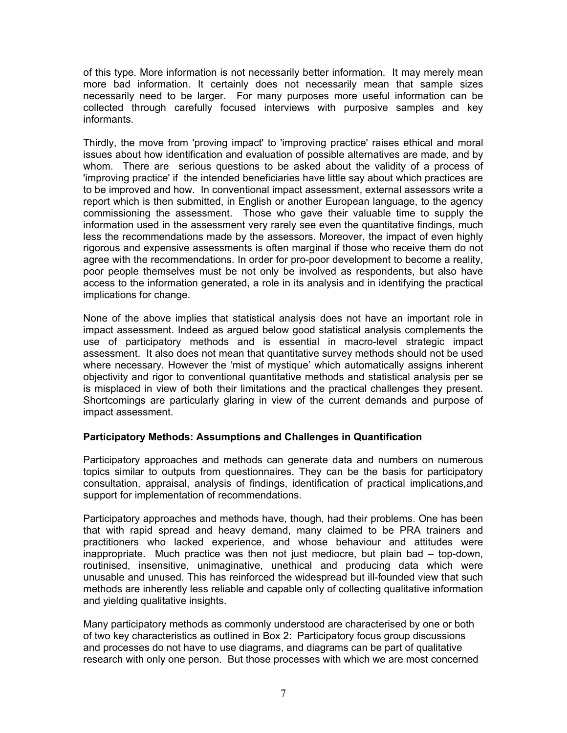of this type. More information is not necessarily better information. It may merely mean more bad information. It certainly does not necessarily mean that sample sizes necessarily need to be larger. For many purposes more useful information can be collected through carefully focused interviews with purposive samples and key informants.

Thirdly, the move from 'proving impact' to 'improving practice' raises ethical and moral issues about how identification and evaluation of possible alternatives are made, and by whom. There are serious questions to be asked about the validity of a process of 'improving practice' if the intended beneficiaries have little say about which practices are to be improved and how. In conventional impact assessment, external assessors write a report which is then submitted, in English or another European language, to the agency commissioning the assessment. Those who gave their valuable time to supply the information used in the assessment very rarely see even the quantitative findings, much less the recommendations made by the assessors. Moreover, the impact of even highly rigorous and expensive assessments is often marginal if those who receive them do not agree with the recommendations. In order for pro-poor development to become a reality, poor people themselves must be not only be involved as respondents, but also have access to the information generated, a role in its analysis and in identifying the practical implications for change.

None of the above implies that statistical analysis does not have an important role in impact assessment. Indeed as argued below good statistical analysis complements the use of participatory methods and is essential in macro-level strategic impact assessment. It also does not mean that quantitative survey methods should not be used where necessary. However the 'mist of mystique' which automatically assigns inherent objectivity and rigor to conventional quantitative methods and statistical analysis per se is misplaced in view of both their limitations and the practical challenges they present. Shortcomings are particularly glaring in view of the current demands and purpose of impact assessment.

## **Participatory Methods: Assumptions and Challenges in Quantification**

Participatory approaches and methods can generate data and numbers on numerous topics similar to outputs from questionnaires. They can be the basis for participatory consultation, appraisal, analysis of findings, identification of practical implications,and support for implementation of recommendations.

Participatory approaches and methods have, though, had their problems. One has been that with rapid spread and heavy demand, many claimed to be PRA trainers and practitioners who lacked experience, and whose behaviour and attitudes were inappropriate. Much practice was then not just mediocre, but plain bad – top-down, routinised, insensitive, unimaginative, unethical and producing data which were unusable and unused. This has reinforced the widespread but ill-founded view that such methods are inherently less reliable and capable only of collecting qualitative information and yielding qualitative insights.

Many participatory methods as commonly understood are characterised by one or both of two key characteristics as outlined in Box 2: Participatory focus group discussions and processes do not have to use diagrams, and diagrams can be part of qualitative research with only one person. But those processes with which we are most concerned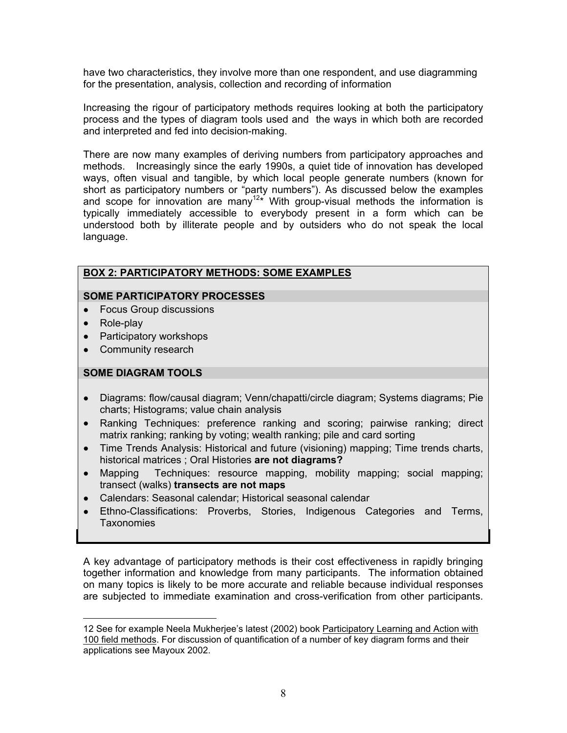have two characteristics, they involve more than one respondent, and use diagramming for the presentation, analysis, collection and recording of information

Increasing the rigour of participatory methods requires looking at both the participatory process and the types of diagram tools used and the ways in which both are recorded and interpreted and fed into decision-making.

There are now many examples of deriving numbers from participatory approaches and methods. Increasingly since the early 1990s, a quiet tide of innovation has developed ways, often visual and tangible, by which local people generate numbers (known for short as participatory numbers or "party numbers"). As discussed below the examples and scope for innovation are many<sup>[12\\*](#page-7-0)</sup> With group-visual methods the information is typically immediately accessible to everybody present in a form which can be understood both by illiterate people and by outsiders who do not speak the local language.

## **BOX 2: PARTICIPATORY METHODS: SOME EXAMPLES**

## **SOME PARTICIPATORY PROCESSES**

- Focus Group discussions
- Role-play
- Participatory workshops
- Community research

## **SOME DIAGRAM TOOLS**

- Diagrams: flow/causal diagram; Venn/chapatti/circle diagram; Systems diagrams; Pie charts; Histograms; value chain analysis
- Ranking Techniques: preference ranking and scoring; pairwise ranking; direct matrix ranking; ranking by voting; wealth ranking; pile and card sorting
- Time Trends Analysis: Historical and future (visioning) mapping; Time trends charts, historical matrices ; Oral Histories **are not diagrams?**
- Mapping Techniques: resource mapping, mobility mapping; social mapping; transect (walks) **transects are not maps**
- Calendars: Seasonal calendar; Historical seasonal calendar
- Ethno-Classifications: Proverbs, Stories, Indigenous Categories and Terms, Taxonomies

A key advantage of participatory methods is their cost effectiveness in rapidly bringing together information and knowledge from many participants. The information obtained on many topics is likely to be more accurate and reliable because individual responses are subjected to immediate examination and cross-verification from other participants.

<span id="page-7-0"></span> $\overline{a}$ 12 See for example Neela Mukherjee's latest (2002) book Participatory Learning and Action with 100 field methods. For discussion of quantification of a number of key diagram forms and their applications see Mayoux 2002.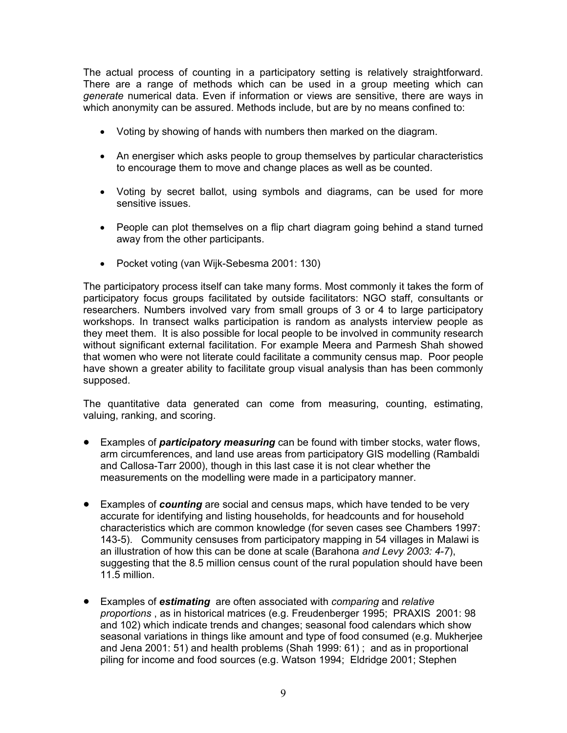The actual process of counting in a participatory setting is relatively straightforward. There are a range of methods which can be used in a group meeting which can *generate* numerical data. Even if information or views are sensitive, there are ways in which anonymity can be assured. Methods include, but are by no means confined to:

- Voting by showing of hands with numbers then marked on the diagram.
- An energiser which asks people to group themselves by particular characteristics to encourage them to move and change places as well as be counted.
- Voting by secret ballot, using symbols and diagrams, can be used for more sensitive issues.
- People can plot themselves on a flip chart diagram going behind a stand turned away from the other participants.
- Pocket voting (van Wijk-Sebesma 2001: 130)

The participatory process itself can take many forms. Most commonly it takes the form of participatory focus groups facilitated by outside facilitators: NGO staff, consultants or researchers. Numbers involved vary from small groups of 3 or 4 to large participatory workshops. In transect walks participation is random as analysts interview people as they meet them. It is also possible for local people to be involved in community research without significant external facilitation. For example Meera and Parmesh Shah showed that women who were not literate could facilitate a community census map. Poor people have shown a greater ability to facilitate group visual analysis than has been commonly supposed.

The quantitative data generated can come from measuring, counting, estimating, valuing, ranking, and scoring.

- Examples of *participatory measuring* can be found with timber stocks, water flows, arm circumferences, and land use areas from participatory GIS modelling (Rambaldi and Callosa-Tarr 2000), though in this last case it is not clear whether the measurements on the modelling were made in a participatory manner.
- Examples of *counting* are social and census maps, which have tended to be very accurate for identifying and listing households, for headcounts and for household characteristics which are common knowledge (for seven cases see Chambers 1997: 143-5). Community censuses from participatory mapping in 54 villages in Malawi is an illustration of how this can be done at scale (Barahona *and Levy 2003: 4-7*), suggesting that the 8.5 million census count of the rural population should have been 11.5 million.
- Examples of *estimating* are often associated with *comparing* and *relative proportions* , as in historical matrices (e.g. Freudenberger 1995; PRAXIS 2001: 98 and 102) which indicate trends and changes; seasonal food calendars which show seasonal variations in things like amount and type of food consumed (e.g. Mukherjee and Jena 2001: 51) and health problems (Shah 1999: 61) ; and as in proportional piling for income and food sources (e.g. Watson 1994; Eldridge 2001; Stephen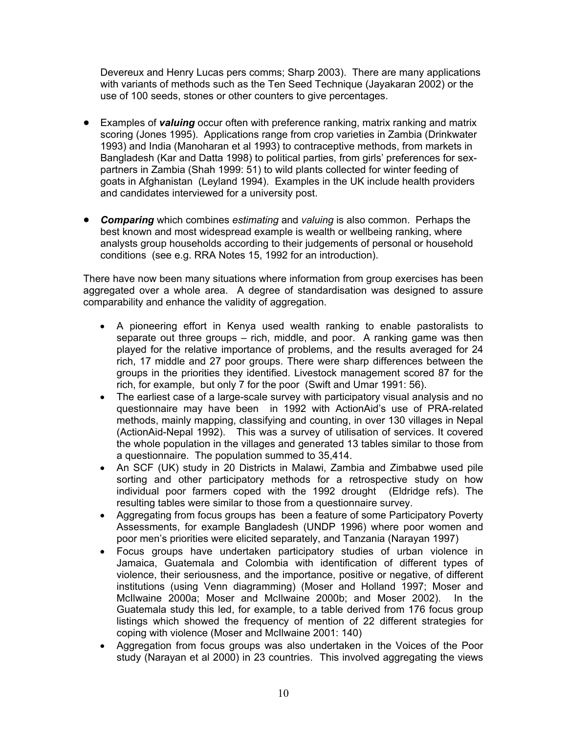Devereux and Henry Lucas pers comms; Sharp 2003). There are many applications with variants of methods such as the Ten Seed Technique (Jayakaran 2002) or the use of 100 seeds, stones or other counters to give percentages.

- Examples of *valuing* occur often with preference ranking, matrix ranking and matrix scoring (Jones 1995). Applications range from crop varieties in Zambia (Drinkwater 1993) and India (Manoharan et al 1993) to contraceptive methods, from markets in Bangladesh (Kar and Datta 1998) to political parties, from girls' preferences for sexpartners in Zambia (Shah 1999: 51) to wild plants collected for winter feeding of goats in Afghanistan (Leyland 1994). Examples in the UK include health providers and candidates interviewed for a university post.
- *Comparing* which combines *estimating* and *valuing* is also common. Perhaps the best known and most widespread example is wealth or wellbeing ranking, where analysts group households according to their judgements of personal or household conditions (see e.g. RRA Notes 15, 1992 for an introduction).

There have now been many situations where information from group exercises has been aggregated over a whole area. A degree of standardisation was designed to assure comparability and enhance the validity of aggregation.

- A pioneering effort in Kenya used wealth ranking to enable pastoralists to separate out three groups – rich, middle, and poor. A ranking game was then played for the relative importance of problems, and the results averaged for 24 rich, 17 middle and 27 poor groups. There were sharp differences between the groups in the priorities they identified. Livestock management scored 87 for the rich, for example, but only 7 for the poor (Swift and Umar 1991: 56).
- The earliest case of a large-scale survey with participatory visual analysis and no questionnaire may have been in 1992 with ActionAid's use of PRA-related methods, mainly mapping, classifying and counting, in over 130 villages in Nepal (ActionAid-Nepal 1992). This was a survey of utilisation of services. It covered the whole population in the villages and generated 13 tables similar to those from a questionnaire. The population summed to 35,414.
- An SCF (UK) study in 20 Districts in Malawi, Zambia and Zimbabwe used pile sorting and other participatory methods for a retrospective study on how individual poor farmers coped with the 1992 drought (Eldridge refs). The resulting tables were similar to those from a questionnaire survey.
- Aggregating from focus groups has been a feature of some Participatory Poverty Assessments, for example Bangladesh (UNDP 1996) where poor women and poor men's priorities were elicited separately, and Tanzania (Narayan 1997)
- Focus groups have undertaken participatory studies of urban violence in Jamaica, Guatemala and Colombia with identification of different types of violence, their seriousness, and the importance, positive or negative, of different institutions (using Venn diagramming) (Moser and Holland 1997; Moser and McIlwaine 2000a; Moser and McIlwaine 2000b; and Moser 2002). In the Guatemala study this led, for example, to a table derived from 176 focus group listings which showed the frequency of mention of 22 different strategies for coping with violence (Moser and McIlwaine 2001: 140)
- Aggregation from focus groups was also undertaken in the Voices of the Poor study (Narayan et al 2000) in 23 countries. This involved aggregating the views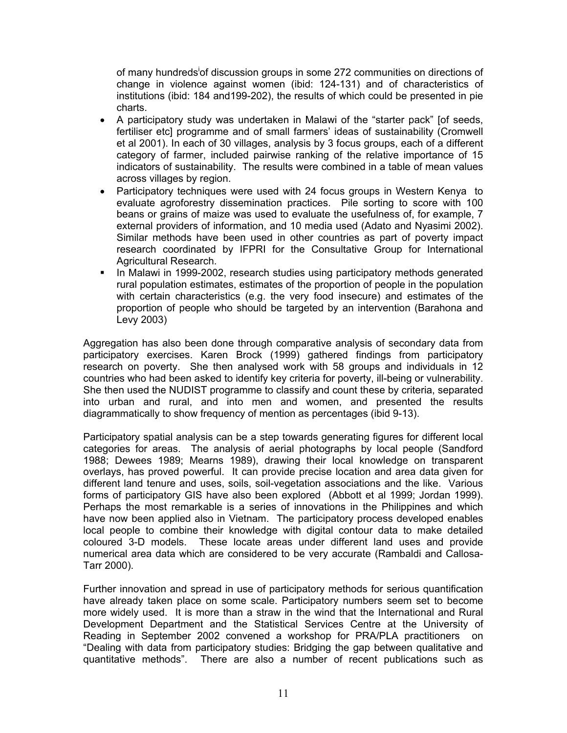[o](#page-24-0)f many hundreds<sup>i</sup>of discussion groups in some 272 communities on directions of change in violence against women (ibid: 124-131) and of characteristics of institutions (ibid: 184 and199-202), the results of which could be presented in pie charts.

- A participatory study was undertaken in Malawi of the "starter pack" [of seeds, fertiliser etc] programme and of small farmers' ideas of sustainability (Cromwell et al 2001). In each of 30 villages, analysis by 3 focus groups, each of a different category of farmer, included pairwise ranking of the relative importance of 15 indicators of sustainability. The results were combined in a table of mean values across villages by region.
- Participatory techniques were used with 24 focus groups in Western Kenya to evaluate agroforestry dissemination practices. Pile sorting to score with 100 beans or grains of maize was used to evaluate the usefulness of, for example, 7 external providers of information, and 10 media used (Adato and Nyasimi 2002). Similar methods have been used in other countries as part of poverty impact research coordinated by IFPRI for the Consultative Group for International Agricultural Research.
- In Malawi in 1999-2002, research studies using participatory methods generated rural population estimates, estimates of the proportion of people in the population with certain characteristics (e.g. the very food insecure) and estimates of the proportion of people who should be targeted by an intervention (Barahona and Levy 2003)

Aggregation has also been done through comparative analysis of secondary data from participatory exercises. Karen Brock (1999) gathered findings from participatory research on poverty. She then analysed work with 58 groups and individuals in 12 countries who had been asked to identify key criteria for poverty, ill-being or vulnerability. She then used the NUDIST programme to classify and count these by criteria, separated into urban and rural, and into men and women, and presented the results diagrammatically to show frequency of mention as percentages (ibid 9-13).

Participatory spatial analysis can be a step towards generating figures for different local categories for areas. The analysis of aerial photographs by local people (Sandford 1988; Dewees 1989; Mearns 1989), drawing their local knowledge on transparent overlays, has proved powerful. It can provide precise location and area data given for different land tenure and uses, soils, soil-vegetation associations and the like. Various forms of participatory GIS have also been explored (Abbott et al 1999; Jordan 1999). Perhaps the most remarkable is a series of innovations in the Philippines and which have now been applied also in Vietnam. The participatory process developed enables local people to combine their knowledge with digital contour data to make detailed coloured 3-D models. These locate areas under different land uses and provide numerical area data which are considered to be very accurate (Rambaldi and Callosa-Tarr 2000).

Further innovation and spread in use of participatory methods for serious quantification have already taken place on some scale. Participatory numbers seem set to become more widely used. It is more than a straw in the wind that the International and Rural Development Department and the Statistical Services Centre at the University of Reading in September 2002 convened a workshop for PRA/PLA practitioners on "Dealing with data from participatory studies: Bridging the gap between qualitative and quantitative methods". There are also a number of recent publications such as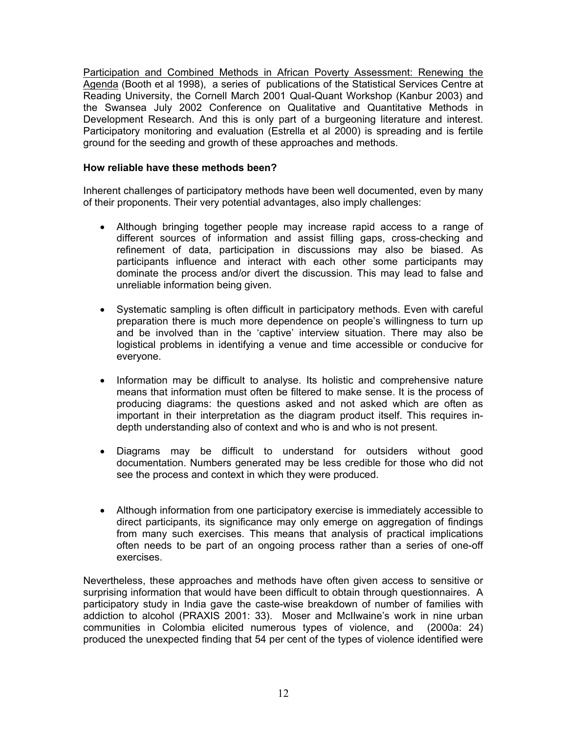Participation and Combined Methods in African Poverty Assessment: Renewing the Agenda (Booth et al 1998), a series of publications of the Statistical Services Centre at Reading University, the Cornell March 2001 Qual-Quant Workshop (Kanbur 2003) and the Swansea July 2002 Conference on Qualitative and Quantitative Methods in Development Research. And this is only part of a burgeoning literature and interest. Participatory monitoring and evaluation (Estrella et al 2000) is spreading and is fertile ground for the seeding and growth of these approaches and methods.

## **How reliable have these methods been?**

Inherent challenges of participatory methods have been well documented, even by many of their proponents. Their very potential advantages, also imply challenges:

- Although bringing together people may increase rapid access to a range of different sources of information and assist filling gaps, cross-checking and refinement of data, participation in discussions may also be biased. As participants influence and interact with each other some participants may dominate the process and/or divert the discussion. This may lead to false and unreliable information being given.
- Systematic sampling is often difficult in participatory methods. Even with careful preparation there is much more dependence on people's willingness to turn up and be involved than in the 'captive' interview situation. There may also be logistical problems in identifying a venue and time accessible or conducive for everyone.
- Information may be difficult to analyse. Its holistic and comprehensive nature means that information must often be filtered to make sense. It is the process of producing diagrams: the questions asked and not asked which are often as important in their interpretation as the diagram product itself. This requires indepth understanding also of context and who is and who is not present.
- Diagrams may be difficult to understand for outsiders without good documentation. Numbers generated may be less credible for those who did not see the process and context in which they were produced.
- Although information from one participatory exercise is immediately accessible to direct participants, its significance may only emerge on aggregation of findings from many such exercises. This means that analysis of practical implications often needs to be part of an ongoing process rather than a series of one-off exercises.

Nevertheless, these approaches and methods have often given access to sensitive or surprising information that would have been difficult to obtain through questionnaires. A participatory study in India gave the caste-wise breakdown of number of families with addiction to alcohol (PRAXIS 2001: 33). Moser and McIlwaine's work in nine urban communities in Colombia elicited numerous types of violence, and (2000a: 24) produced the unexpected finding that 54 per cent of the types of violence identified were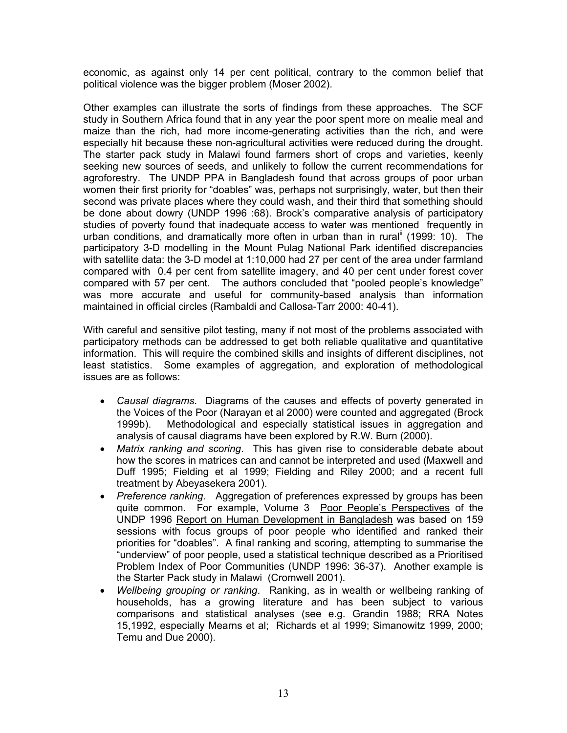economic, as against only 14 per cent political, contrary to the common belief that political violence was the bigger problem (Moser 2002).

Other examples can illustrate the sorts of findings from these approaches. The SCF study in Southern Africa found that in any year the poor spent more on mealie meal and maize than the rich, had more income-generating activities than the rich, and were especially hit because these non-agricultural activities were reduced during the drought. The starter pack study in Malawi found farmers short of crops and varieties, keenly seeking new sources of seeds, and unlikely to follow the current recommendations for agroforestry. The UNDP PPA in Bangladesh found that across groups of poor urban women their first priority for "doables" was, perhaps not surprisingly, water, but then their second was private places where they could wash, and their third that something should be done about dowry (UNDP 1996 :68). Brock's comparative analysis of participatory studies of poverty found that inadequate access to water was mentioned frequently in urban conditions, and dramatically more often in urban than in rural (1999: 10). The participatory 3-D modelling in the Mount Pulag National Park identified discrepancies with satellite data: the 3-D model at 1:10,000 had 27 per cent of the area under farmland compared with 0.4 per cent from satellite imagery, and 40 per cent under forest cover compared with 57 per cent. The authors concluded that "pooled people's knowledge" was more accurate and useful for community-based analysis than information maintained in official circles (Rambaldi and Callosa-Tarr 2000: 40-41).

With careful and sensitive pilot testing, many if not most of the problems associated with participatory methods can be addressed to get both reliable qualitative and quantitative information. This will require the combined skills and insights of different disciplines, not least statistics. Some examples of aggregation, and exploration of methodological issues are as follows:

- *Causal diagrams*. Diagrams of the causes and effects of poverty generated in the Voices of the Poor (Narayan et al 2000) were counted and aggregated (Brock 1999b). Methodological and especially statistical issues in aggregation and analysis of causal diagrams have been explored by R.W. Burn (2000).
- *Matrix ranking and scoring*. This has given rise to considerable debate about how the scores in matrices can and cannot be interpreted and used (Maxwell and Duff 1995; Fielding et al 1999; Fielding and Riley 2000; and a recent full treatment by Abeyasekera 2001).
- *Preference ranking*. Aggregation of preferences expressed by groups has been quite common. For example, Volume 3 Poor People's Perspectives of the UNDP 1996 Report on Human Development in Bangladesh was based on 159 sessions with focus groups of poor people who identified and ranked their priorities for "doables". A final ranking and scoring, attempting to summarise the "underview" of poor people, used a statistical technique described as a Prioritised Problem Index of Poor Communities (UNDP 1996: 36-37). Another example is the Starter Pack study in Malawi (Cromwell 2001).
- *Wellbeing grouping or ranking*. Ranking, as in wealth or wellbeing ranking of households, has a growing literature and has been subject to various comparisons and statistical analyses (see e.g. Grandin 1988; RRA Notes 15,1992, especially Mearns et al; Richards et al 1999; Simanowitz 1999, 2000; Temu and Due 2000).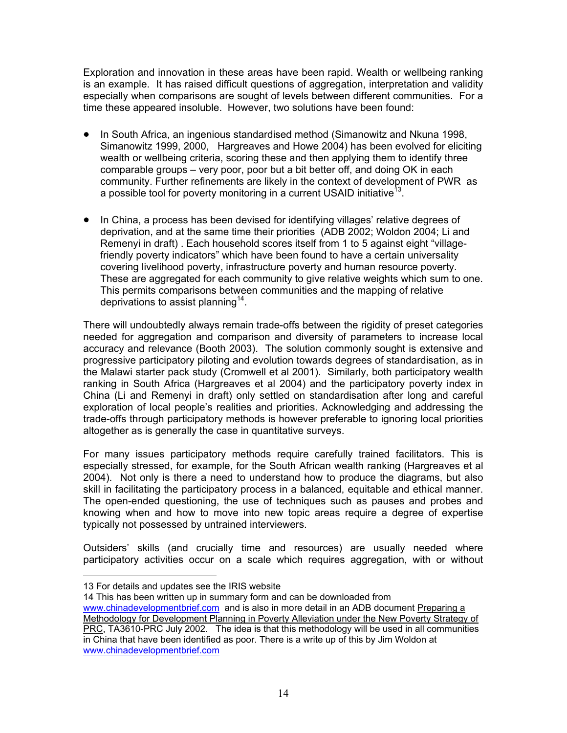Exploration and innovation in these areas have been rapid. Wealth or wellbeing ranking is an example. It has raised difficult questions of aggregation, interpretation and validity especially when comparisons are sought of levels between different communities. For a time these appeared insoluble. However, two solutions have been found:

- In South Africa, an ingenious standardised method (Simanowitz and Nkuna 1998, Simanowitz 1999, 2000, Hargreaves and Howe 2004) has been evolved for eliciting wealth or wellbeing criteria, scoring these and then applying them to identify three comparable groups – very poor, poor but a bit better off, and doing OK in each community. Further refinements are likely in the context of development of PWR as a possible tool for poverty monitoring in a current USAID initiative<sup>13</sup>.
- In China, a process has been devised for identifying villages' relative degrees of deprivation, and at the same time their priorities (ADB 2002; Woldon 2004; Li and Remenyi in draft) . Each household scores itself from 1 to 5 against eight "villagefriendly poverty indicators" which have been found to have a certain universality covering livelihood poverty, infrastructure poverty and human resource poverty. These are aggregated for each community to give relative weights which sum to one. This permits comparisons between communities and the mapping of relative deprivations to assist planning<sup>14</sup>.

There will undoubtedly always remain trade-offs between the rigidity of preset categories needed for aggregation and comparison and diversity of parameters to increase local accuracy and relevance (Booth 2003). The solution commonly sought is extensive and progressive participatory piloting and evolution towards degrees of standardisation, as in the Malawi starter pack study (Cromwell et al 2001). Similarly, both participatory wealth ranking in South Africa (Hargreaves et al 2004) and the participatory poverty index in China (Li and Remenyi in draft) only settled on standardisation after long and careful exploration of local people's realities and priorities. Acknowledging and addressing the trade-offs through participatory methods is however preferable to ignoring local priorities altogether as is generally the case in quantitative surveys.

For many issues participatory methods require carefully trained facilitators. This is especially stressed, for example, for the South African wealth ranking (Hargreaves et al 2004). Not only is there a need to understand how to produce the diagrams, but also skill in facilitating the participatory process in a balanced, equitable and ethical manner. The open-ended questioning, the use of techniques such as pauses and probes and knowing when and how to move into new topic areas require a degree of expertise typically not possessed by untrained interviewers.

Outsiders' skills (and crucially time and resources) are usually needed where participatory activities occur on a scale which requires aggregation, with or without

 $\overline{a}$ 

<span id="page-13-1"></span>14 This has been written up in summary form and can be downloaded from

[www.chinadevelopmentbrief.com](http://www.chinadevelopmentbrief.com/) and is also in more detail in an ADB document Preparing a Methodology for Development Planning in Poverty Alleviation under the New Poverty Strategy of PRC, TA3610-PRC July 2002. The idea is that this methodology will be used in all communities in China that have been identified as poor. There is a write up of this by Jim Woldon at [www.chinadevelopmentbrief.com](http://www.chinadevelopmentbrief.com/)

<span id="page-13-0"></span><sup>13</sup> For details and updates see the IRIS website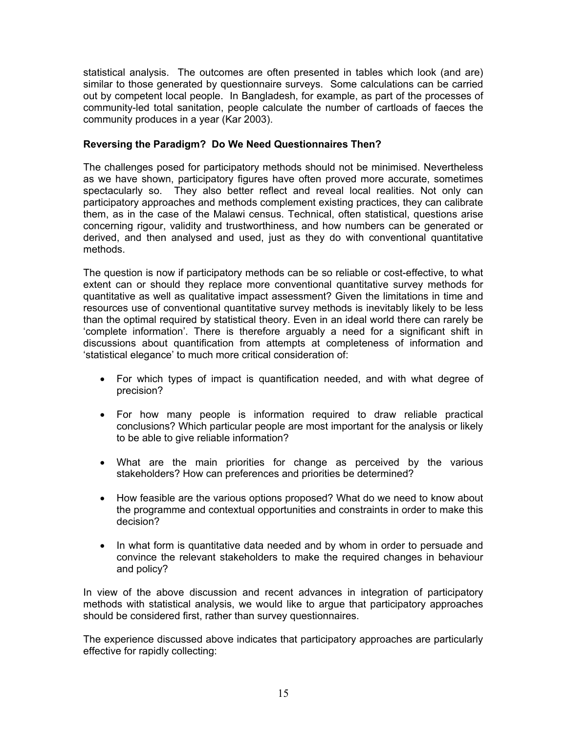statistical analysis. The outcomes are often presented in tables which look (and are) similar to those generated by questionnaire surveys. Some calculations can be carried out by competent local people. In Bangladesh, for example, as part of the processes of community-led total sanitation, people calculate the number of cartloads of faeces the community produces in a year (Kar 2003).

## **Reversing the Paradigm? Do We Need Questionnaires Then?**

The challenges posed for participatory methods should not be minimised. Nevertheless as we have shown, participatory figures have often proved more accurate, sometimes spectacularly so. They also better reflect and reveal local realities. Not only can participatory approaches and methods complement existing practices, they can calibrate them, as in the case of the Malawi census. Technical, often statistical, questions arise concerning rigour, validity and trustworthiness, and how numbers can be generated or derived, and then analysed and used, just as they do with conventional quantitative methods.

The question is now if participatory methods can be so reliable or cost-effective, to what extent can or should they replace more conventional quantitative survey methods for quantitative as well as qualitative impact assessment? Given the limitations in time and resources use of conventional quantitative survey methods is inevitably likely to be less than the optimal required by statistical theory. Even in an ideal world there can rarely be 'complete information'. There is therefore arguably a need for a significant shift in discussions about quantification from attempts at completeness of information and 'statistical elegance' to much more critical consideration of:

- For which types of impact is quantification needed, and with what degree of precision?
- For how many people is information required to draw reliable practical conclusions? Which particular people are most important for the analysis or likely to be able to give reliable information?
- What are the main priorities for change as perceived by the various stakeholders? How can preferences and priorities be determined?
- How feasible are the various options proposed? What do we need to know about the programme and contextual opportunities and constraints in order to make this decision?
- In what form is quantitative data needed and by whom in order to persuade and convince the relevant stakeholders to make the required changes in behaviour and policy?

In view of the above discussion and recent advances in integration of participatory methods with statistical analysis, we would like to argue that participatory approaches should be considered first, rather than survey questionnaires.

The experience discussed above indicates that participatory approaches are particularly effective for rapidly collecting: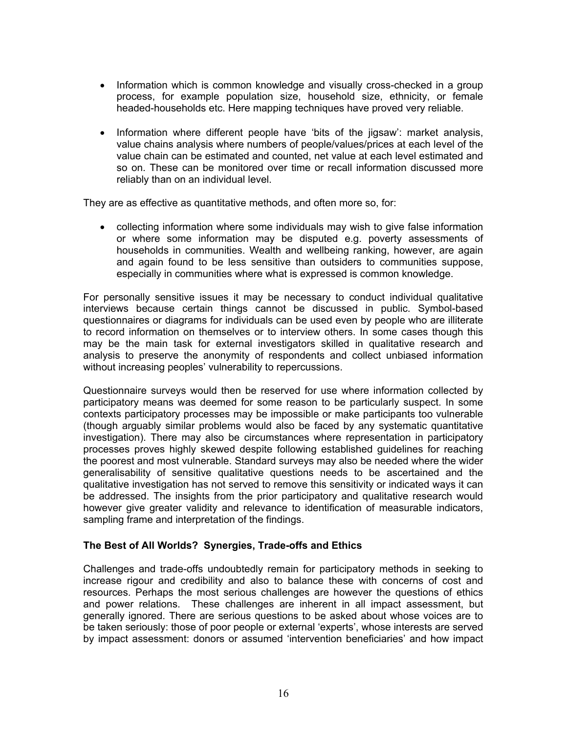- Information which is common knowledge and visually cross-checked in a group process, for example population size, household size, ethnicity, or female headed-households etc. Here mapping techniques have proved very reliable.
- Information where different people have 'bits of the jigsaw': market analysis, value chains analysis where numbers of people/values/prices at each level of the value chain can be estimated and counted, net value at each level estimated and so on. These can be monitored over time or recall information discussed more reliably than on an individual level.

They are as effective as quantitative methods, and often more so, for:

• collecting information where some individuals may wish to give false information or where some information may be disputed e.g. poverty assessments of households in communities. Wealth and wellbeing ranking, however, are again and again found to be less sensitive than outsiders to communities suppose, especially in communities where what is expressed is common knowledge.

For personally sensitive issues it may be necessary to conduct individual qualitative interviews because certain things cannot be discussed in public. Symbol-based questionnaires or diagrams for individuals can be used even by people who are illiterate to record information on themselves or to interview others. In some cases though this may be the main task for external investigators skilled in qualitative research and analysis to preserve the anonymity of respondents and collect unbiased information without increasing peoples' vulnerability to repercussions.

Questionnaire surveys would then be reserved for use where information collected by participatory means was deemed for some reason to be particularly suspect. In some contexts participatory processes may be impossible or make participants too vulnerable (though arguably similar problems would also be faced by any systematic quantitative investigation). There may also be circumstances where representation in participatory processes proves highly skewed despite following established guidelines for reaching the poorest and most vulnerable. Standard surveys may also be needed where the wider generalisability of sensitive qualitative questions needs to be ascertained and the qualitative investigation has not served to remove this sensitivity or indicated ways it can be addressed. The insights from the prior participatory and qualitative research would however give greater validity and relevance to identification of measurable indicators, sampling frame and interpretation of the findings.

## **The Best of All Worlds? Synergies, Trade-offs and Ethics**

Challenges and trade-offs undoubtedly remain for participatory methods in seeking to increase rigour and credibility and also to balance these with concerns of cost and resources. Perhaps the most serious challenges are however the questions of ethics and power relations.These challenges are inherent in all impact assessment, but generally ignored. There are serious questions to be asked about whose voices are to be taken seriously: those of poor people or external 'experts', whose interests are served by impact assessment: donors or assumed 'intervention beneficiaries' and how impact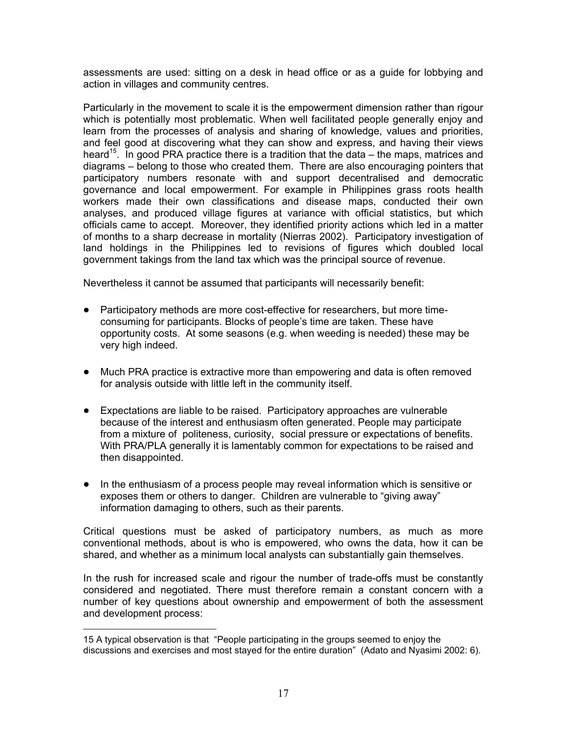assessments are used: sitting on a desk in head office or as a guide for lobbying and action in villages and community centres.

Particularly in the movement to scale it is the empowerment dimension rather than rigour which is potentially most problematic. When well facilitated people generally enjoy and learn from the processes of analysis and sharing of knowledge, values and priorities, and feel good at discovering what they can show and express, and having their views heard<sup>15</sup>. In good PRA practice there is a tradition that the data – the maps, matrices and diagrams – belong to those who created them. There are also encouraging pointers that participatory numbers resonate with and support decentralised and democratic governance and local empowerment. For example in Philippines grass roots health workers made their own classifications and disease maps, conducted their own analyses, and produced village figures at variance with official statistics, but which officials came to accept. Moreover, they identified priority actions which led in a matter of months to a sharp decrease in mortality (Nierras 2002). Participatory investigation of land holdings in the Philippines led to revisions of figures which doubled local government takings from the land tax which was the principal source of revenue.

Nevertheless it cannot be assumed that participants will necessarily benefit:

- Participatory methods are more cost-effective for researchers, but more timeconsuming for participants. Blocks of people's time are taken. These have opportunity costs. At some seasons (e.g. when weeding is needed) these may be very high indeed.
- Much PRA practice is extractive more than empowering and data is often removed for analysis outside with little left in the community itself.
- Expectations are liable to be raised. Participatory approaches are vulnerable because of the interest and enthusiasm often generated. People may participate from a mixture of politeness, curiosity, social pressure or expectations of benefits. With PRA/PLA generally it is lamentably common for expectations to be raised and then disappointed.
- In the enthusiasm of a process people may reveal information which is sensitive or exposes them or others to danger. Children are vulnerable to "giving away" information damaging to others, such as their parents.

Critical questions must be asked of participatory numbers, as much as more conventional methods, about is who is empowered, who owns the data, how it can be shared, and whether as a minimum local analysts can substantially gain themselves.

In the rush for increased scale and rigour the number of trade-offs must be constantly considered and negotiated. There must therefore remain a constant concern with a number of key questions about ownership and empowerment of both the assessment and development process:

<span id="page-16-0"></span> $\overline{a}$ 15 A typical observation is that "People participating in the groups seemed to enjoy the discussions and exercises and most stayed for the entire duration" (Adato and Nyasimi 2002: 6).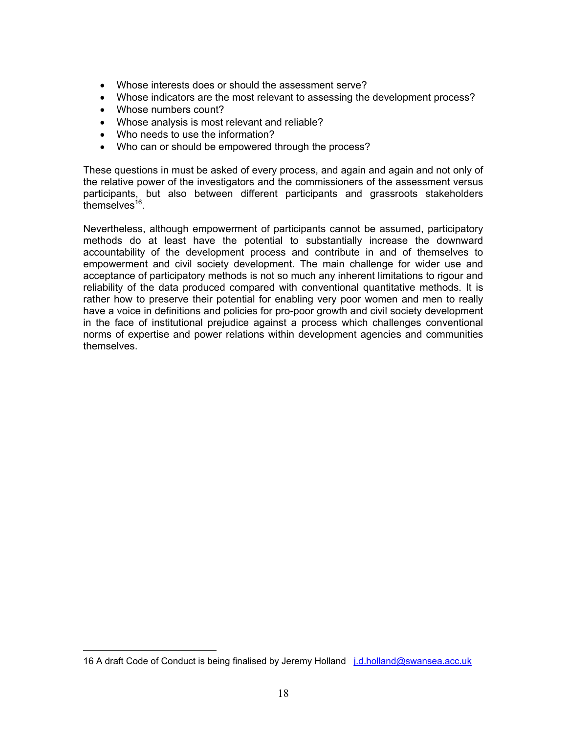- Whose interests does or should the assessment serve?
- Whose indicators are the most relevant to assessing the development process?
- Whose numbers count?

 $\overline{a}$ 

- Whose analysis is most relevant and reliable?
- Who needs to use the information?
- Who can or should be empowered through the process?

These questions in must be asked of every process, and again and again and not only of the relative power of the investigators and the commissioners of the assessment versus participants, but also between different participants and grassroots stakeholders themselves $^{16}$ .

Nevertheless, although empowerment of participants cannot be assumed, participatory methods do at least have the potential to substantially increase the downward accountability of the development process and contribute in and of themselves to empowerment and civil society development. The main challenge for wider use and acceptance of participatory methods is not so much any inherent limitations to rigour and reliability of the data produced compared with conventional quantitative methods. It is rather how to preserve their potential for enabling very poor women and men to really have a voice in definitions and policies for pro-poor growth and civil society development in the face of institutional prejudice against a process which challenges conventional norms of expertise and power relations within development agencies and communities themselves.

<span id="page-17-0"></span><sup>16</sup> A draft Code of Conduct is being finalised by Jeremy Holland *j.d.holland@swansea.acc.uk*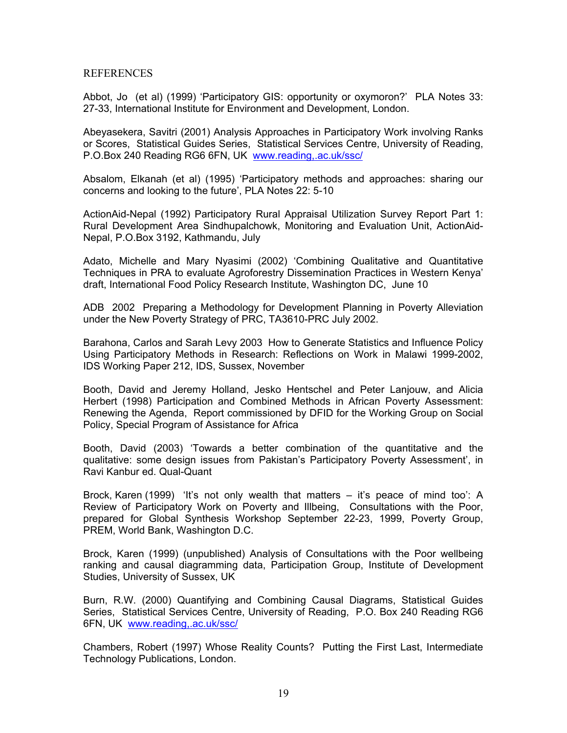#### REFERENCES

Abbot, Jo (et al) (1999) 'Participatory GIS: opportunity or oxymoron?' PLA Notes 33: 27-33, International Institute for Environment and Development, London.

Abeyasekera, Savitri (2001) Analysis Approaches in Participatory Work involving Ranks or Scores, Statistical Guides Series, Statistical Services Centre, University of Reading, P.O.Box 240 Reading RG6 6FN, UK [www.reading,.ac.uk/ssc/](http://www.reading,.ac.uk/ssc/)

Absalom, Elkanah (et al) (1995) 'Participatory methods and approaches: sharing our concerns and looking to the future', PLA Notes 22: 5-10

ActionAid-Nepal (1992) Participatory Rural Appraisal Utilization Survey Report Part 1: Rural Development Area Sindhupalchowk, Monitoring and Evaluation Unit, ActionAid-Nepal, P.O.Box 3192, Kathmandu, July

Adato, Michelle and Mary Nyasimi (2002) 'Combining Qualitative and Quantitative Techniques in PRA to evaluate Agroforestry Dissemination Practices in Western Kenya' draft, International Food Policy Research Institute, Washington DC, June 10

ADB 2002 Preparing a Methodology for Development Planning in Poverty Alleviation under the New Poverty Strategy of PRC, TA3610-PRC July 2002.

Barahona, Carlos and Sarah Levy 2003 How to Generate Statistics and Influence Policy Using Participatory Methods in Research: Reflections on Work in Malawi 1999-2002, IDS Working Paper 212, IDS, Sussex, November

Booth, David and Jeremy Holland, Jesko Hentschel and Peter Lanjouw, and Alicia Herbert (1998) Participation and Combined Methods in African Poverty Assessment: Renewing the Agenda, Report commissioned by DFID for the Working Group on Social Policy, Special Program of Assistance for Africa

Booth, David (2003) 'Towards a better combination of the quantitative and the qualitative: some design issues from Pakistan's Participatory Poverty Assessment', in Ravi Kanbur ed. Qual-Quant

Brock, Karen (1999) 'It's not only wealth that matters – it's peace of mind too': A Review of Participatory Work on Poverty and Illbeing, Consultations with the Poor, prepared for Global Synthesis Workshop September 22-23, 1999, Poverty Group, PREM, World Bank, Washington D.C.

Brock, Karen (1999) (unpublished) Analysis of Consultations with the Poor wellbeing ranking and causal diagramming data, Participation Group, Institute of Development Studies, University of Sussex, UK

Burn, R.W. (2000) Quantifying and Combining Causal Diagrams, Statistical Guides Series, Statistical Services Centre, University of Reading, P.O. Box 240 Reading RG6 6FN, UK [www.reading,.ac.uk/ssc/](http://www.reading,.ac.uk/ssc/)

Chambers, Robert (1997) Whose Reality Counts? Putting the First Last, Intermediate Technology Publications, London.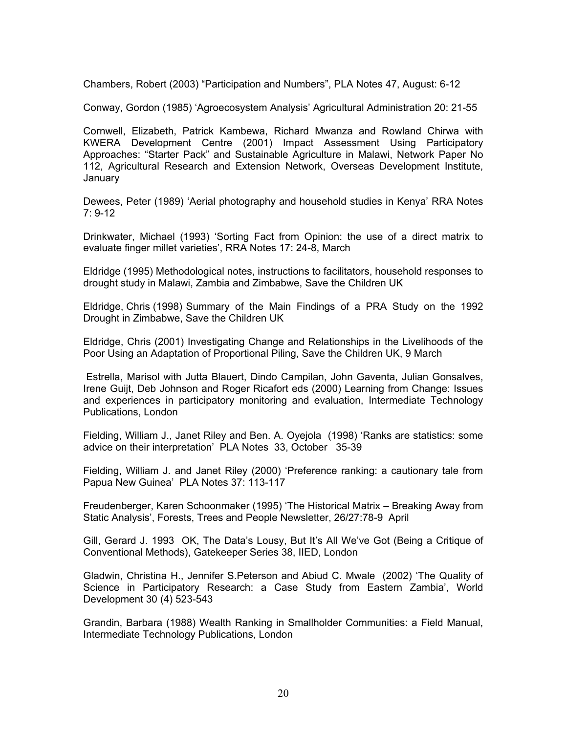Chambers, Robert (2003) "Participation and Numbers", PLA Notes 47, August: 6-12

Conway, Gordon (1985) 'Agroecosystem Analysis' Agricultural Administration 20: 21-55

Cornwell, Elizabeth, Patrick Kambewa, Richard Mwanza and Rowland Chirwa with KWERA Development Centre (2001) Impact Assessment Using Participatory Approaches: "Starter Pack" and Sustainable Agriculture in Malawi, Network Paper No 112, Agricultural Research and Extension Network, Overseas Development Institute, January

Dewees, Peter (1989) 'Aerial photography and household studies in Kenya' RRA Notes 7: 9-12

Drinkwater, Michael (1993) 'Sorting Fact from Opinion: the use of a direct matrix to evaluate finger millet varieties', RRA Notes 17: 24-8, March

Eldridge (1995) Methodological notes, instructions to facilitators, household responses to drought study in Malawi, Zambia and Zimbabwe, Save the Children UK

Eldridge, Chris (1998) Summary of the Main Findings of a PRA Study on the 1992 Drought in Zimbabwe, Save the Children UK

Eldridge, Chris (2001) Investigating Change and Relationships in the Livelihoods of the Poor Using an Adaptation of Proportional Piling, Save the Children UK, 9 March

Estrella, Marisol with Jutta Blauert, Dindo Campilan, John Gaventa, Julian Gonsalves, Irene Guijt, Deb Johnson and Roger Ricafort eds (2000) Learning from Change: Issues and experiences in participatory monitoring and evaluation, Intermediate Technology Publications, London

Fielding, William J., Janet Riley and Ben. A. Oyejola (1998) 'Ranks are statistics: some advice on their interpretation' PLA Notes 33, October 35-39

Fielding, William J. and Janet Riley (2000) 'Preference ranking: a cautionary tale from Papua New Guinea' PLA Notes 37: 113-117

Freudenberger, Karen Schoonmaker (1995) 'The Historical Matrix – Breaking Away from Static Analysis', Forests, Trees and People Newsletter, 26/27:78-9 April

Gill, Gerard J. 1993 OK, The Data's Lousy, But It's All We've Got (Being a Critique of Conventional Methods), Gatekeeper Series 38, IIED, London

Gladwin, Christina H., Jennifer S.Peterson and Abiud C. Mwale (2002) 'The Quality of Science in Participatory Research: a Case Study from Eastern Zambia', World Development 30 (4) 523-543

Grandin, Barbara (1988) Wealth Ranking in Smallholder Communities: a Field Manual, Intermediate Technology Publications, London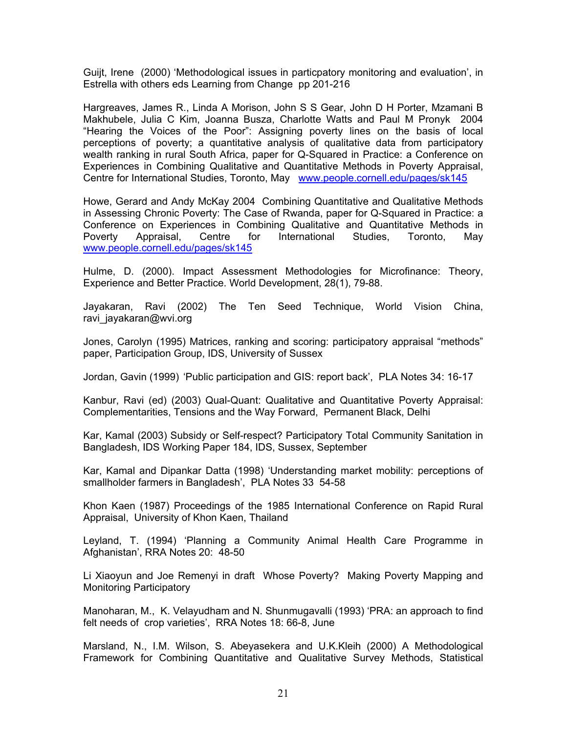Guijt, Irene (2000) 'Methodological issues in particpatory monitoring and evaluation', in Estrella with others eds Learning from Change pp 201-216

Hargreaves, James R., Linda A Morison, John S S Gear, John D H Porter, Mzamani B Makhubele, Julia C Kim, Joanna Busza, Charlotte Watts and Paul M Pronyk 2004 "Hearing the Voices of the Poor": Assigning poverty lines on the basis of local perceptions of poverty; a quantitative analysis of qualitative data from participatory wealth ranking in rural South Africa, paper for Q-Squared in Practice: a Conference on Experiences in Combining Qualitative and Quantitative Methods in Poverty Appraisal, Centre for International Studies, Toronto, May [www.people.cornell.edu/pages/sk145](http://www.people.cornell.edu/pages/sk145)

Howe, Gerard and Andy McKay 2004 Combining Quantitative and Qualitative Methods in Assessing Chronic Poverty: The Case of Rwanda, paper for Q-Squared in Practice: a Conference on Experiences in Combining Qualitative and Quantitative Methods in Poverty Appraisal, Centre for International Studies, Toronto, May [www.people.cornell.edu/pages/sk145](http://www.people.cornell.edu/pages/sk145)

Hulme, D. (2000). Impact Assessment Methodologies for Microfinance: Theory, Experience and Better Practice. World Development, 28(1), 79-88.

Jayakaran, Ravi (2002) The Ten Seed Technique, World Vision China, ravi jayakaran@wvi.org

Jones, Carolyn (1995) Matrices, ranking and scoring: participatory appraisal "methods" paper, Participation Group, IDS, University of Sussex

Jordan, Gavin (1999) 'Public participation and GIS: report back', PLA Notes 34: 16-17

Kanbur, Ravi (ed) (2003) Qual-Quant: Qualitative and Quantitative Poverty Appraisal: Complementarities, Tensions and the Way Forward, Permanent Black, Delhi

Kar, Kamal (2003) Subsidy or Self-respect? Participatory Total Community Sanitation in Bangladesh, IDS Working Paper 184, IDS, Sussex, September

Kar, Kamal and Dipankar Datta (1998) 'Understanding market mobility: perceptions of smallholder farmers in Bangladesh', PLA Notes 33 54-58

Khon Kaen (1987) Proceedings of the 1985 International Conference on Rapid Rural Appraisal, University of Khon Kaen, Thailand

Leyland, T. (1994) 'Planning a Community Animal Health Care Programme in Afghanistan', RRA Notes 20: 48-50

Li Xiaoyun and Joe Remenyi in draft Whose Poverty? Making Poverty Mapping and Monitoring Participatory

Manoharan, M., K. Velayudham and N. Shunmugavalli (1993) 'PRA: an approach to find felt needs of crop varieties', RRA Notes 18: 66-8, June

Marsland, N., I.M. Wilson, S. Abeyasekera and U.K.Kleih (2000) A Methodological Framework for Combining Quantitative and Qualitative Survey Methods, Statistical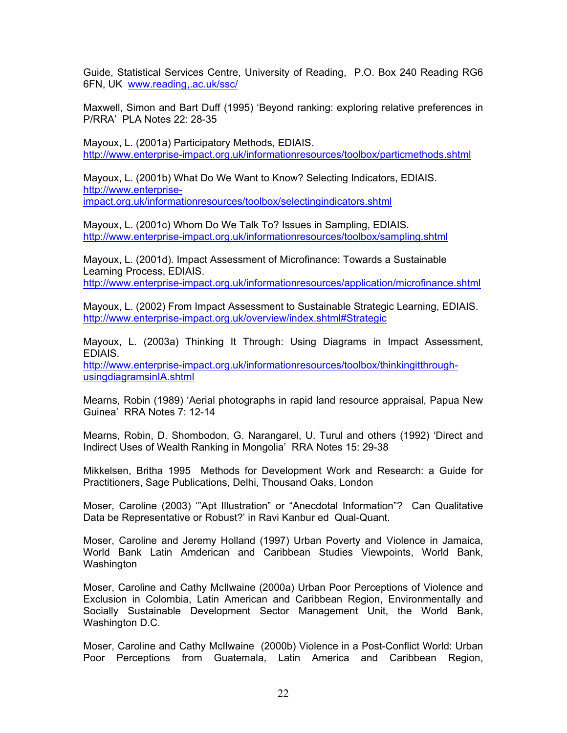Guide, Statistical Services Centre, University of Reading, P.O. Box 240 Reading RG6 6FN, UK [www.reading,.ac.uk/ssc/](http://www.reading,.ac.uk/ssc/)

Maxwell, Simon and Bart Duff (1995) 'Beyond ranking: exploring relative preferences in P/RRA' PLA Notes 22: 28-35

Mayoux, L. (2001a) Participatory Methods, EDIAIS. <http://www.enterprise-impact.org.uk/informationresources/toolbox/particmethods.shtml>

Mayoux, L. (2001b) What Do We Want to Know? Selecting Indicators, EDIAIS. [http://www.enterprise](http://www.enterprise-impact.org.uk/informationresources/toolbox/selectingindicators.shtml)[impact.org.uk/informationresources/toolbox/selectingindicators.shtml](http://www.enterprise-impact.org.uk/informationresources/toolbox/selectingindicators.shtml)

Mayoux, L. (2001c) Whom Do We Talk To? Issues in Sampling, EDIAIS. <http://www.enterprise-impact.org.uk/informationresources/toolbox/sampling.shtml>

Mayoux, L. (2001d). Impact Assessment of Microfinance: Towards a Sustainable Learning Process, EDIAIS. <http://www.enterprise-impact.org.uk/informationresources/application/microfinance.shtml>

Mayoux, L. (2002) From Impact Assessment to Sustainable Strategic Learning, EDIAIS. [http://www.enterprise-impact.org.uk/overview/index.shtml#Strategic](http://www.enterprise-impact.org.uk/overview/index.shtml)

Mayoux, L. (2003a) Thinking It Through: Using Diagrams in Impact Assessment, EDIAIS.

[http://www.enterprise-impact.org.uk/informationresources/toolbox/thinkingitthrough](http://www.enterprise-impact.org.uk/informationresources/toolbox/thinkingitthrough-usingdiagramsinIA.shtml)[usingdiagramsinIA.shtml](http://www.enterprise-impact.org.uk/informationresources/toolbox/thinkingitthrough-usingdiagramsinIA.shtml) 

Mearns, Robin (1989) 'Aerial photographs in rapid land resource appraisal, Papua New Guinea' RRA Notes 7: 12-14

Mearns, Robin, D. Shombodon, G. Narangarel, U. Turul and others (1992) 'Direct and Indirect Uses of Wealth Ranking in Mongolia' RRA Notes 15: 29-38

Mikkelsen, Britha 1995 Methods for Development Work and Research: a Guide for Practitioners, Sage Publications, Delhi, Thousand Oaks, London

Moser, Caroline (2003) '"Apt Illustration" or "Anecdotal Information"? Can Qualitative Data be Representative or Robust?' in Ravi Kanbur ed Qual-Quant.

Moser, Caroline and Jeremy Holland (1997) Urban Poverty and Violence in Jamaica, World Bank Latin Amderican and Caribbean Studies Viewpoints, World Bank, **Washington** 

Moser, Caroline and Cathy McIlwaine (2000a) Urban Poor Perceptions of Violence and Exclusion in Colombia, Latin American and Caribbean Region, Environmentally and Socially Sustainable Development Sector Management Unit, the World Bank, Washington D.C.

Moser, Caroline and Cathy McIlwaine (2000b) Violence in a Post-Conflict World: Urban Poor Perceptions from Guatemala, Latin America and Caribbean Region,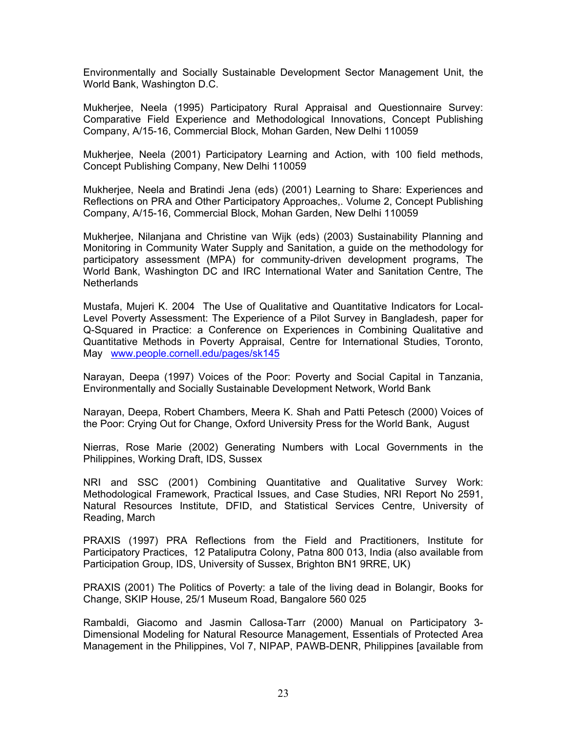Environmentally and Socially Sustainable Development Sector Management Unit, the World Bank, Washington D.C.

Mukherjee, Neela (1995) Participatory Rural Appraisal and Questionnaire Survey: Comparative Field Experience and Methodological Innovations, Concept Publishing Company, A/15-16, Commercial Block, Mohan Garden, New Delhi 110059

Mukherjee, Neela (2001) Participatory Learning and Action, with 100 field methods, Concept Publishing Company, New Delhi 110059

Mukherjee, Neela and Bratindi Jena (eds) (2001) Learning to Share: Experiences and Reflections on PRA and Other Participatory Approaches,. Volume 2, Concept Publishing Company, A/15-16, Commercial Block, Mohan Garden, New Delhi 110059

Mukherjee, Nilanjana and Christine van Wijk (eds) (2003) Sustainability Planning and Monitoring in Community Water Supply and Sanitation, a guide on the methodology for participatory assessment (MPA) for community-driven development programs, The World Bank, Washington DC and IRC International Water and Sanitation Centre, The **Netherlands** 

Mustafa, Mujeri K. 2004 The Use of Qualitative and Quantitative Indicators for Local-Level Poverty Assessment: The Experience of a Pilot Survey in Bangladesh, paper for Q-Squared in Practice: a Conference on Experiences in Combining Qualitative and Quantitative Methods in Poverty Appraisal, Centre for International Studies, Toronto, May [www.people.cornell.edu/pages/sk145](http://www.people.cornell.edu/pages/sk145)

Narayan, Deepa (1997) Voices of the Poor: Poverty and Social Capital in Tanzania, Environmentally and Socially Sustainable Development Network, World Bank

Narayan, Deepa, Robert Chambers, Meera K. Shah and Patti Petesch (2000) Voices of the Poor: Crying Out for Change, Oxford University Press for the World Bank, August

Nierras, Rose Marie (2002) Generating Numbers with Local Governments in the Philippines, Working Draft, IDS, Sussex

NRI and SSC (2001) Combining Quantitative and Qualitative Survey Work: Methodological Framework, Practical Issues, and Case Studies, NRI Report No 2591, Natural Resources Institute, DFID, and Statistical Services Centre, University of Reading, March

PRAXIS (1997) PRA Reflections from the Field and Practitioners, Institute for Participatory Practices, 12 Pataliputra Colony, Patna 800 013, India (also available from Participation Group, IDS, University of Sussex, Brighton BN1 9RRE, UK)

PRAXIS (2001) The Politics of Poverty: a tale of the living dead in Bolangir, Books for Change, SKIP House, 25/1 Museum Road, Bangalore 560 025

Rambaldi, Giacomo and Jasmin Callosa-Tarr (2000) Manual on Participatory 3- Dimensional Modeling for Natural Resource Management, Essentials of Protected Area Management in the Philippines, Vol 7, NIPAP, PAWB-DENR, Philippines [available from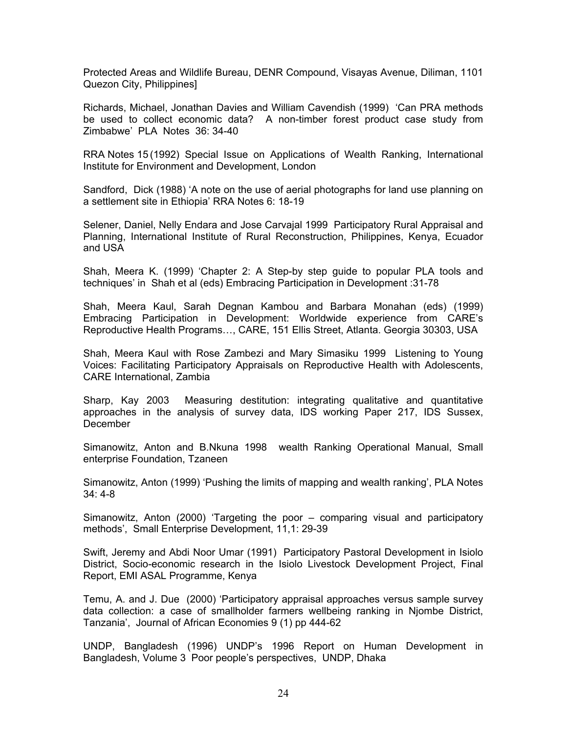Protected Areas and Wildlife Bureau, DENR Compound, Visayas Avenue, Diliman, 1101 Quezon City, Philippines]

Richards, Michael, Jonathan Davies and William Cavendish (1999) 'Can PRA methods be used to collect economic data? A non-timber forest product case study from Zimbabwe' PLA Notes 36: 34-40

RRA Notes 15 (1992) Special Issue on Applications of Wealth Ranking, International Institute for Environment and Development, London

Sandford, Dick (1988) 'A note on the use of aerial photographs for land use planning on a settlement site in Ethiopia' RRA Notes 6: 18-19

Selener, Daniel, Nelly Endara and Jose Carvajal 1999 Participatory Rural Appraisal and Planning, International Institute of Rural Reconstruction, Philippines, Kenya, Ecuador and USA

Shah, Meera K. (1999) 'Chapter 2: A Step-by step guide to popular PLA tools and techniques' in Shah et al (eds) Embracing Participation in Development :31-78

Shah, Meera Kaul, Sarah Degnan Kambou and Barbara Monahan (eds) (1999) Embracing Participation in Development: Worldwide experience from CARE's Reproductive Health Programs…, CARE, 151 Ellis Street, Atlanta. Georgia 30303, USA

Shah, Meera Kaul with Rose Zambezi and Mary Simasiku 1999 Listening to Young Voices: Facilitating Participatory Appraisals on Reproductive Health with Adolescents, CARE International, Zambia

Sharp, Kay 2003 Measuring destitution: integrating qualitative and quantitative approaches in the analysis of survey data, IDS working Paper 217, IDS Sussex, December

Simanowitz, Anton and B.Nkuna 1998 wealth Ranking Operational Manual, Small enterprise Foundation, Tzaneen

Simanowitz, Anton (1999) 'Pushing the limits of mapping and wealth ranking', PLA Notes 34: 4-8

Simanowitz, Anton (2000) 'Targeting the poor – comparing visual and participatory methods', Small Enterprise Development, 11,1: 29-39

Swift, Jeremy and Abdi Noor Umar (1991) Participatory Pastoral Development in Isiolo District, Socio-economic research in the Isiolo Livestock Development Project, Final Report, EMI ASAL Programme, Kenya

Temu, A. and J. Due (2000) 'Participatory appraisal approaches versus sample survey data collection: a case of smallholder farmers wellbeing ranking in Njombe District, Tanzania', Journal of African Economies 9 (1) pp 444-62

UNDP, Bangladesh (1996) UNDP's 1996 Report on Human Development in Bangladesh, Volume 3 Poor people's perspectives, UNDP, Dhaka